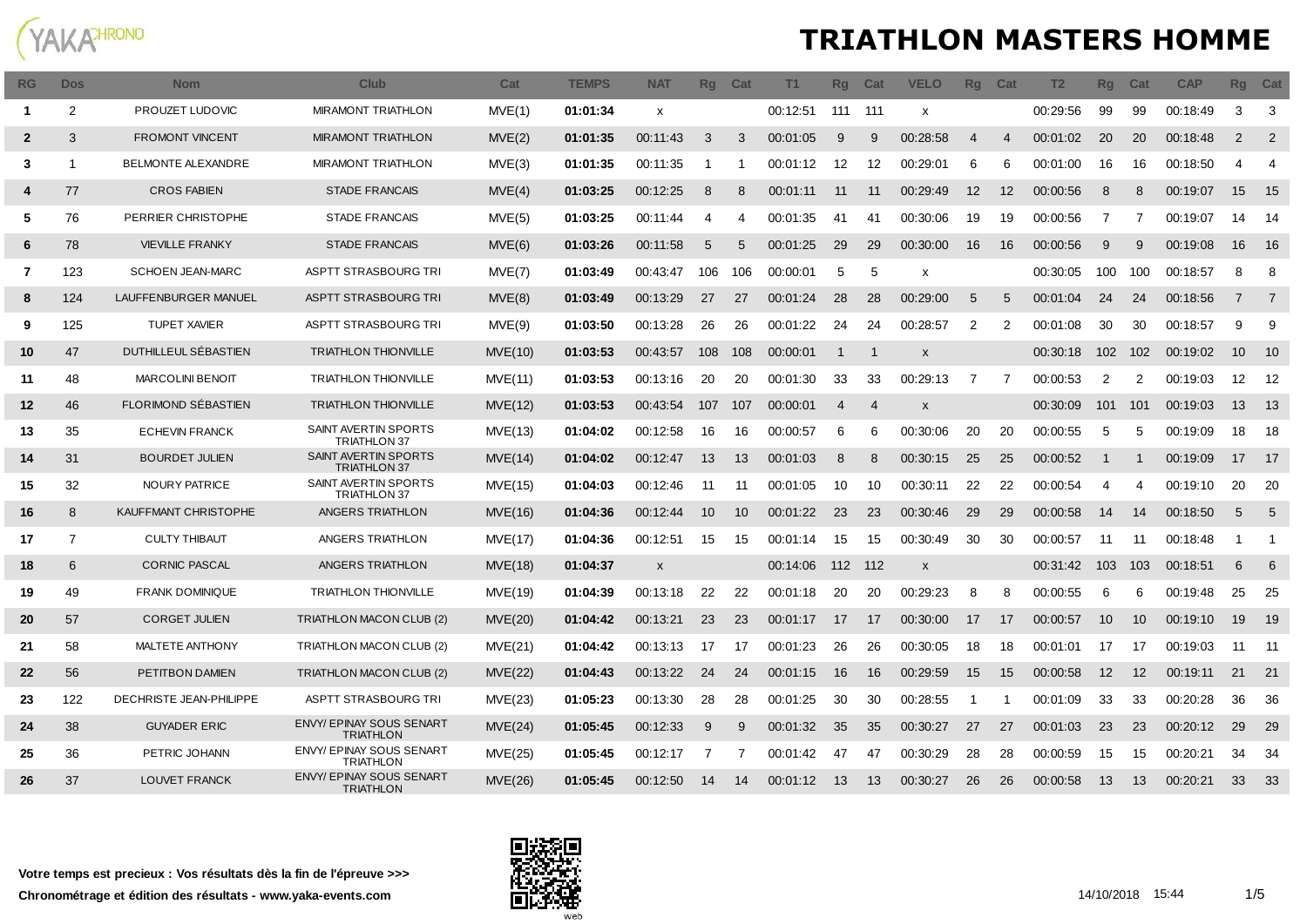

| <b>RG</b>      | <b>Dos</b>     | <b>Nom</b>                 | Club                                                | Cat     | <b>TEMPS</b> | <b>NAT</b>                | <b>Rg</b>       | Cat | T1.      | <b>Rg</b> | Cat   | <b>VELO</b>  | <b>Rg</b> | Cat               | T <sub>2</sub> | Rq          | Cat | <b>CAP</b> | Rg | Cat            |
|----------------|----------------|----------------------------|-----------------------------------------------------|---------|--------------|---------------------------|-----------------|-----|----------|-----------|-------|--------------|-----------|-------------------|----------------|-------------|-----|------------|----|----------------|
| -1             | $\overline{2}$ | PROUZET LUDOVIC            | <b>MIRAMONT TRIATHLON</b>                           | MVE(1)  | 01:01:34     | X                         |                 |     | 00:12:51 | -111      | - 111 | X            |           |                   | 00:29:56       | 99          | 99  | 00:18:49   | 3  | -3             |
| $\mathbf{2}$   | 3              | <b>FROMONT VINCENT</b>     | <b>MIRAMONT TRIATHLON</b>                           | MVE(2)  | 01:01:35     | 00:11:43                  | 3               | -3  | 00:01:05 | 9         | 9     | 00.28.58     | 4         | 4                 | 00:01:02       | 20          | 20  | 00:18:48   | 2  | $\overline{2}$ |
| $\mathbf{3}$   | -1             | BELMONTE ALEXANDRE         | MIRAMONT TRIATHLON                                  | MVE(3)  | 01:01:35     | 00:11:35                  | -1              |     | 00:01:12 | 12        | 12    | 00:29:01     | 6         | 6                 | 00:01:00       | 16          | 16  | 00:18:50   | Δ  | $\overline{4}$ |
| 4              | 77             | <b>CROS FABIEN</b>         | <b>STADE FRANCAIS</b>                               | MVE(4)  | 01:03:25     | 00:12:25                  | 8               | 8   | 00:01:11 | 11        | 11    | 00:29:49     | 12        | $12 \overline{ }$ | 00:00:56       | 8           | 8   | 00:19:07   | 15 | - 15           |
| 5              | 76             | PERRIER CHRISTOPHE         | <b>STADE FRANCAIS</b>                               | MVE(5)  | 01:03:25     | 00:11:44                  | 4               | 4   | 00:01:35 | 41        | 41    | 00.30.06     | 19        | 19                | 00:00:56       | 7           | 7   | 00:19:07   | 14 | -14            |
| 6              | 78             | <b>VIEVILLE FRANKY</b>     | <b>STADE FRANCAIS</b>                               | MVE(6)  | 01:03:26     | 00:11:58                  | 5               | 5   | 00:01:25 | 29        | 29    | 00:30:00     | 16        | 16                | 00:00:56       | 9           | 9   | 00:19:08   | 16 | - 16           |
| $\overline{7}$ | 123            | <b>SCHOEN JEAN-MARC</b>    | ASPTT STRASBOURG TRI                                | MVE(7)  | 01:03:49     | 00:43:47                  | 106             | 106 | 00:00:01 | 5         | -5    | х            |           |                   | 00:30:05       | 100         | 100 | 00:18:57   | 8  | 8              |
| 8              | 124            | LAUFFENBURGER MANUEL       | ASPTT STRASBOURG TRI                                | MVE(8)  | 01:03:49     | 00:13:29                  | 27              | 27  | 00:01:24 | 28        | 28    | 00.29.00     | 5         | 5                 | 00:01:04       | 24          | 24  | 00:18:56   | 7  | $\overline{7}$ |
| 9              | 125            | <b>TUPET XAVIER</b>        | ASPTT STRASBOURG TRI                                | MVE(9)  | 01:03:50     | 00:13:28                  | 26              | 26  | 00:01:22 | 24        | 24    | 00:28:57     | 2         | 2                 | 00:01:08       | 30          | 30  | 00:18:57   | 9  | 9              |
| 10             | 47             | DUTHILLEUL SÉBASTIEN       | <b>TRIATHLON THIONVILLE</b>                         | MVE(10) | 01:03:53     | 00:43:57                  | 108             | 108 | 00:00:01 | -1        | -1    | $\pmb{\chi}$ |           |                   | 00:30:18       | 102         | 102 | 00:19:02   | 10 | 10             |
| 11             | 48             | <b>MARCOLINI BENOIT</b>    | <b>TRIATHLON THIONVILLE</b>                         | MVE(11) | 01:03:53     | 00:13:16                  | 20              | 20  | 00:01:30 | 33        | 33    | 00:29:13     | 7         | 7                 | 00:00:53       | 2           | 2   | 00:19:03   | 12 | 12             |
| $12 \,$        | 46             | <b>FLORIMOND SÉBASTIEN</b> | <b>TRIATHLON THIONVILLE</b>                         | MVE(12) | 01:03:53     | 00:43:54                  | 107             | 107 | 00:00:01 | 4         | 4     | X            |           |                   | 00:30:09       | 101         | 101 | 00:19:03   | 13 | - 13           |
| 13             | 35             | <b>ECHEVIN FRANCK</b>      | SAINT AVERTIN SPORTS<br><b>TRIATHLON 37</b>         | MVE(13) | 01:04:02     | 00:12:58                  | 16              | 16  | 00:00:57 | 6         | 6     | 00:30:06     | 20        | 20                | 00:00:55       | 5           | 5   | 00:19:09   | 18 | 18             |
| 14             | 31             | <b>BOURDET JULIEN</b>      | SAINT AVERTIN SPORTS<br><b>TRIATHLON 37</b>         | MVE(14) | 01:04:02     | 00:12:47                  | 13              | 13  | 00:01:03 | 8         | 8     | 00:30:15     | 25        | 25                | 00:00:52       | $\mathbf 1$ |     | 00:19:09   | 17 | 17             |
| 15             | 32             | NOURY PATRICE              | SAINT AVERTIN SPORTS<br><b>TRIATHLON 37</b>         | MVE(15) | 01:04:03     | 00:12:46                  | 11              | 11  | 00:01:05 | 10        | 10    | 00:30:11     | 22        | 22                | 00:00:54       | 4           | 4   | 00:19:10   | 20 | 20             |
| 16             | 8              | KAUFFMANT CHRISTOPHE       | ANGERS TRIATHLON                                    | MVE(16) | 01:04:36     | 00:12:44                  | 10 <sup>°</sup> | 10  | 00:01:22 | 23        | 23    | 00:30:46     | 29        | 29                | 00:00:58       | 14          | 14  | 00:18:50   | 5  | - 5            |
| 17             | $\overline{7}$ | <b>CULTY THIBAUT</b>       | ANGERS TRIATHLON                                    | MVE(17) | 01:04:36     | 00:12:51                  | 15              | 15  | 00:01:14 | 15        | 15    | 00:30:49     | 30        | 30                | 00:00:57       | -11         | -11 | 00:18:48   |    | -1             |
| 18             | 6              | <b>CORNIC PASCAL</b>       | ANGERS TRIATHLON                                    | MVE(18) | 01:04:37     | $\boldsymbol{\mathsf{x}}$ |                 |     | 00:14:06 | 112       | - 112 | X            |           |                   | 00:31:42       | 103         | 103 | 00.18.51   | 6  | -6             |
| 19             | 49             | <b>FRANK DOMINIQUE</b>     | <b>TRIATHLON THIONVILLE</b>                         | MVE(19) | 01:04:39     | 00:13:18                  | 22              | 22  | 00:01:18 | 20        | 20    | 00:29:23     | 8         | 8                 | 00:00:55       | 6           | 6   | 00:19:48   | 25 | 25             |
| 20             | 57             | <b>CORGET JULIEN</b>       | TRIATHLON MACON CLUB (2)                            | MVE(20) | 01:04:42     | 00:13:21                  | 23              | 23  | 00:01:17 | 17        | 17    | 00:30:00     | 17        | 17                | 00:00:57       | 10          | 10  | 00:19:10   | 19 | 19             |
| 21             | 58             | MALTETE ANTHONY            | TRIATHLON MACON CLUB (2)                            | MVE(21) | 01:04:42     | 00:13:13                  | 17              | -17 | 00:01:23 | 26        | 26    | 00:30:05     | 18        | 18                | 00:01:01       | 17          | 17  | 00:19:03   | 11 | -11            |
| 22             | 56             | PETITBON DAMIEN            | TRIATHLON MACON CLUB (2)                            | MVE(22) | 01:04:43     | 00:13:22                  | 24              | 24  | 00:01:15 | 16        | 16    | 00:29:59     | 15        | 15                | 00:00:58       | 12          | 12  | 00.19.11   | 21 | 21             |
| 23             | 122            | DECHRISTE JEAN-PHILIPPE    | ASPTT STRASBOURG TRI                                | MVE(23) | 01:05:23     | 00:13:30                  | 28              | 28  | 00:01:25 | 30        | 30    | 00:28:55     | -1        | -1                | 00:01:09       | 33          | 33  | 00:20:28   | 36 | 36             |
| 24             | 38             | <b>GUYADER ERIC</b>        | ENVY/ EPINAY SOUS SENART<br><b>TRIATHLON</b>        | MVE(24) | 01:05:45     | 00:12:33                  | 9               | 9   | 00:01:32 | 35        | 35    | 00:30:27     | 27        | 27                | 00:01:03       | 23          | 23  | 00:20:12   | 29 | 29             |
| 25             | 36             | PETRIC JOHANN              | ENVY/ EPINAY SOUS SENART<br><b>TRIATHLON</b>        | MVE(25) | 01:05:45     | 00:12:17                  | 7               |     | 00:01:42 | 47        | 47    | 00:30:29     | 28        | 28                | 00:00:59       | 15          | 15  | 00:20:21   | 34 | 34             |
| 26             | 37             | <b>LOUVET FRANCK</b>       | <b>ENVY/ EPINAY SOUS SENART</b><br><b>TRIATHLON</b> | MVE(26) | 01:05:45     | 00:12:50                  | 14              | 14  | 00:01:12 | 13        | 13    | 00:30:27     | 26        | 26                | 00:00:58       | 13          | 13  | 00:20:21   | 33 | 33             |

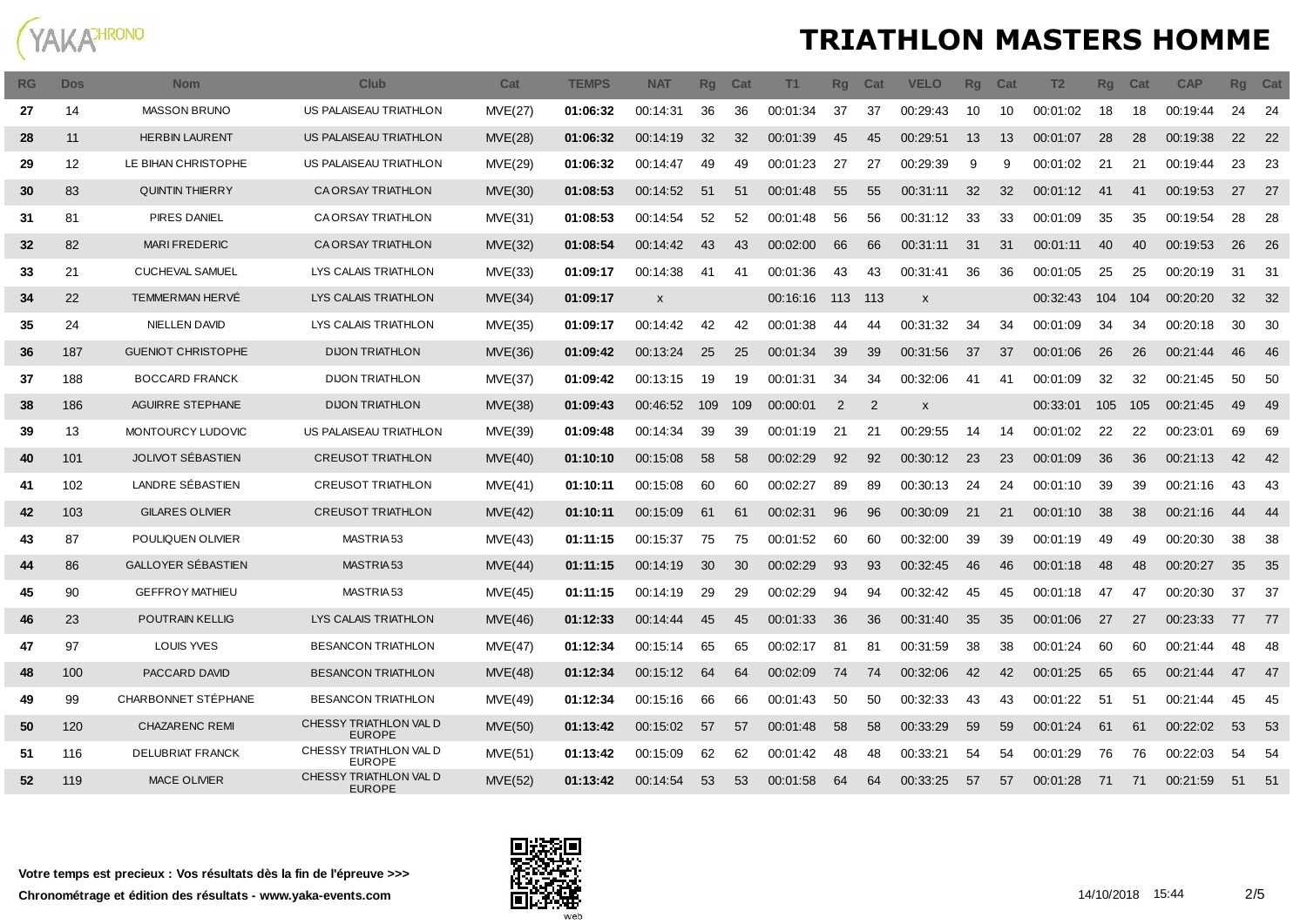

| <b>RG</b> | <b>Dos</b> | <b>Nom</b>                | <b>Club</b>                             | Cat            | <b>TEMPS</b> | <b>NAT</b> | <b>Rg</b> | Cat | T1       | <b>Rg</b>      | Cat | <b>VELO</b>        | <b>Rg</b> | Cat | T <sub>2</sub> | <b>Rq</b> | Cat | <b>CAP</b> | <b>Rg</b> | Cat  |
|-----------|------------|---------------------------|-----------------------------------------|----------------|--------------|------------|-----------|-----|----------|----------------|-----|--------------------|-----------|-----|----------------|-----------|-----|------------|-----------|------|
| 27        | 14         | <b>MASSON BRUNO</b>       | US PALAISEAU TRIATHLON                  | MVE(27)        | 01:06:32     | 00.14.31   | 36        | 36  | 00:01:34 | 37             | 37  | 00.29.43           | 10        | 10  | 00:01:02       | 18        | 18  | 00:19:44   | 24        | 24   |
| 28        | 11         | <b>HERBIN LAURENT</b>     | US PALAISEAU TRIATHLON                  | MVE(28)        | 01:06:32     | 00:14:19   | 32        | 32  | 00:01:39 | 45             | 45  | 00:29:51           | 13        | 13  | 00:01:07       | 28        | 28  | 00:19:38   | 22        | 22   |
| 29        | 12         | LE BIHAN CHRISTOPHE       | US PALAISEAU TRIATHLON                  | MVE(29)        | 01:06:32     | 00:14:47   | 49        | 49  | 00:01:23 | 27             | 27  | 00:29:39           | 9         | 9   | 00:01:02       | 21        | 21  | 00:19:44   | 23        | 23   |
| 30        | 83         | <b>QUINTIN THIERRY</b>    | <b>CAORSAY TRIATHLON</b>                | MVE(30)        | 01:08:53     | 00:14:52   | 51        | 51  | 00:01:48 | 55             | 55  | 00:31:11           | 32        | 32  | 00:01:12       | 41        | 41  | 00:19:53   | 27        | 27   |
| 31        | -81        | PIRES DANIEL              | <b>CAORSAY TRIATHLON</b>                | MVE(31)        | 01:08:53     | 00:14:54   | 52        | 52  | 00:01:48 | 56             | 56  | 00:31:12           | 33        | 33  | 00:01:09       | 35        | 35  | 00:19:54   | 28        | 28   |
| 32        | 82         | <b>MARI FREDERIC</b>      | <b>CAORSAY TRIATHLON</b>                | MVE(32)        | 01:08:54     | 00:14:42   | 43        | 43  | 00:02:00 | 66             | 66  | 00:31:11           | 31        | 31  | 00:01:11       | 40        | 40  | 00:19:53   | 26        | 26   |
| 33        | 21         | <b>CUCHEVAL SAMUEL</b>    | LYS CALAIS TRIATHLON                    | MVE(33)        | 01:09:17     | 00:14:38   | 41        | 41  | 00:01:36 | 43             | 43  | 00:31:41           | 36        | 36  | 00:01:05       | 25        | 25  | 00:20:19   | 31        | 31   |
| 34        | 22         | <b>TEMMERMAN HERVE</b>    | LYS CALAIS TRIATHLON                    | MVE(34)        | 01:09:17     | X          |           |     | 00:16:16 | 113 113        |     | $\pmb{\mathsf{x}}$ |           |     | 00:32:43       | 104       | 104 | 00:20:20   | 32        | 32   |
| 35        | 24         | NIELLEN DAVID             | LYS CALAIS TRIATHLON                    | MVE(35)        | 01:09:17     | 00:14:42   | 42        | 42  | 00:01:38 | 44             | 44  | 00:31:32           | 34        | 34  | 00:01:09       | 34        | 34  | 00:20:18   | 30        | 30   |
| 36        | 187        | <b>GUENIOT CHRISTOPHE</b> | <b>DIJON TRIATHLON</b>                  | MVE(36)        | 01:09:42     | 00:13:24   | 25        | 25  | 00:01:34 | 39             | 39  | 00:31:56           | 37        | 37  | 00:01:06       | 26        | 26  | 00:21:44   | 46        | 46   |
| 37        | 188        | <b>BOCCARD FRANCK</b>     | <b>DIJON TRIATHLON</b>                  | <b>MVE(37)</b> | 01:09:42     | 00:13:15   | 19        | 19  | 00:01:31 | 34             | 34  | 00:32:06           | 41        | -41 | 00:01:09       | 32        | 32  | 00:21:45   | 50        | 50   |
| 38        | 186        | <b>AGUIRRE STEPHANE</b>   | <b>DIJON TRIATHLON</b>                  | MVE(38)        | 01:09:43     | 00:46:52   | 109       | 109 | 00:00:01 | $\overline{2}$ | 2   | X                  |           |     | 00:33:01       | 105       | 105 | 00:21:45   | 49        | 49   |
| 39        | 13         | MONTOURCY LUDOVIC         | US PALAISEAU TRIATHLON                  | MVE(39)        | 01:09:48     | 00:14:34   | 39        | 39  | 00:01:19 | 21             | 21  | 00:29:55           | 14        | 14  | 00:01:02       | 22        | 22  | 00:23:01   | 69        | 69   |
| 40        | 101        | <b>JOLIVOT SÉBASTIEN</b>  | <b>CREUSOT TRIATHLON</b>                | MVE(40)        | 01:10:10     | 00:15:08   | 58        | 58  | 00:02:29 | 92             | 92  | 00:30:12           | 23        | 23  | 00:01:09       | 36        | 36  | 00:21:13   | 42        | 42   |
| 41        | 102        | LANDRE SÉBASTIEN          | <b>CREUSOT TRIATHLON</b>                | MVE(41)        | 01:10:11     | 00:15:08   | 60        | 60  | 00:02:27 | 89             | 89  | 00:30:13           | 24        | 24  | 00:01:10       | 39        | 39  | 00:21:16   | 43        | 43   |
| 42        | 103        | <b>GILARES OLIVIER</b>    | <b>CREUSOT TRIATHLON</b>                | MVE(42)        | 01:10:11     | 00:15:09   | 61        | 61  | 00:02:31 | 96             | 96  | 00:30:09           | 21        | 21  | 00:01:10       | 38        | 38  | 00:21:16   | 44        | 44   |
| 43        | 87         | POULIQUEN OLIVIER         | MASTRIA 53                              | MVE(43)        | 01:11:15     | 00:15:37   | 75        | 75  | 00:01:52 | 60             | 60  | 00:32:00           | 39        | 39  | 00:01:19       | 49        | 49  | 00:20:30   | 38        | 38   |
| 44        | 86         | GALLOYER SÉBASTIEN        | MASTRIA 53                              | MVE(44)        | 01:11:15     | 00:14:19   | 30        | 30  | 00:02:29 | 93             | 93  | 00:32:45           | 46        | 46  | 00:01:18       | 48        | 48  | 00:20:27   | 35        | 35   |
| 45        | 90         | <b>GEFFROY MATHIEU</b>    | MASTRIA 53                              | MVE(45)        | 01:11:15     | 00:14:19   | 29        | 29  | 00:02:29 | 94             | 94  | 00:32:42           | 45        | 45  | 00:01:18       | 47        | 47  | 00:20:30   | 37        | -37  |
| 46        | 23         | POUTRAIN KELLIG           | LYS CALAIS TRIATHLON                    | MVE(46)        | 01:12:33     | 00:14:44   | 45        | 45  | 00:01:33 | 36             | 36  | 00.31:40           | 35        | 35  | 00:01:06       | 27        | 27  | 00:23:33   | 77        | - 77 |
| 47        | 97         | LOUIS YVES                | <b>BESANCON TRIATHLON</b>               | MVE(47)        | 01:12:34     | 00:15:14   | 65        | 65  | 00:02:17 | 81             | 81  | 00:31:59           | 38        | 38  | 00:01:24       | 60        | 60  | 00:21:44   | 48        | 48   |
| 48        | 100        | PACCARD DAVID             | <b>BESANCON TRIATHLON</b>               | MVE(48)        | 01:12:34     | 00:15:12   | 64        | 64  | 00:02:09 | 74             | 74  | 00:32:06           | 42        | 42  | 00:01:25       | 65        | 65  | 00:21:44   | 47        | 47   |
| 49        | 99         | CHARBONNET STÉPHANE       | <b>BESANCON TRIATHLON</b>               | MVE(49)        | 01:12:34     | 00:15:16   | 66        | 66  | 00:01:43 | 50             | 50  | 00:32:33           | 43        | 43  | 00:01:22       | 51        | 51  | 00:21:44   | 45        | 45   |
| 50        | 120        | <b>CHAZARENC REMI</b>     | CHESSY TRIATHLON VAL D<br><b>EUROPE</b> | MVE(50)        | 01:13:42     | 00:15:02   | 57        | 57  | 00:01:48 | 58             | 58  | 00:33:29           | 59        | 59  | 00:01:24       | 61        | 61  | 00:22:02   | 53        | 53   |
| 51        | 116        | <b>DELUBRIAT FRANCK</b>   | CHESSY TRIATHLON VAL D<br><b>EUROPE</b> | MVE(51)        | 01:13:42     | 00:15:09   | 62        | 62  | 00:01:42 | 48             | 48  | 00:33:21           | 54        | 54  | 00:01:29       | 76        | 76  | 00:22:03   | 54        | 54   |
| 52        | 119        | <b>MACE OLIVIER</b>       | CHESSY TRIATHLON VAL D<br><b>EUROPE</b> | MVE(52)        | 01:13:42     | 00:14:54   | 53        | 53  | 00:01:58 | 64             | 64  | 00:33:25           | 57        | 57  | 00:01:28       | 71        | 71  | 00:21:59   | 51        | 51   |

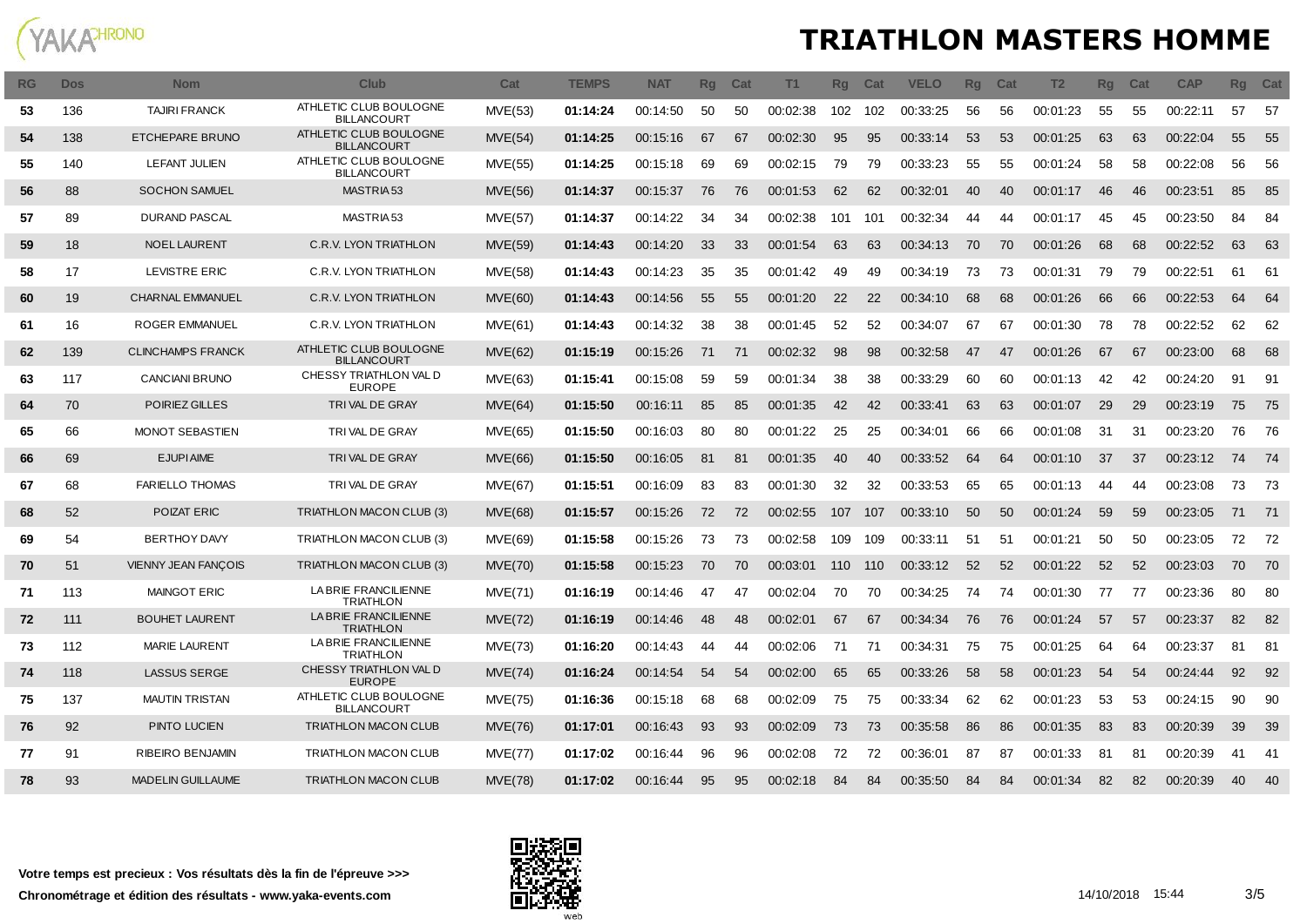

| <b>RG</b> | <b>Dos</b> | <b>Nom</b>                 | <b>Club</b>                                  | Cat            | <b>TEMPS</b> | <b>NAT</b> | <b>Rg</b> | Cat | T1       | <b>Rg</b> | Cat | <b>VELO</b> | <b>Rg</b> | Cat | T <sub>2</sub> | <b>Rq</b> | Cat | <b>CAP</b> | <b>Rg</b> | Cat  |
|-----------|------------|----------------------------|----------------------------------------------|----------------|--------------|------------|-----------|-----|----------|-----------|-----|-------------|-----------|-----|----------------|-----------|-----|------------|-----------|------|
| 53        | 136        | TAJIRI FRANCK              | ATHLETIC CLUB BOULOGNE<br><b>BILLANCOURT</b> | MVE(53)        | 01:14:24     | 00:14:50   | 50        | 50  | 00:02:38 | 102       | 102 | 00:33:25    | 56        | 56  | 00:01:23       | 55        | 55  | 00:22:11   | 57        | 57   |
| 54        | 138        | ETCHEPARE BRUNO            | ATHLETIC CLUB BOULOGNE<br><b>BILLANCOURT</b> | MVE(54)        | 01:14:25     | 00:15:16   | 67        | 67  | 00:02:30 | 95        | 95  | 00:33:14    | 53        | 53  | 00:01:25       | 63        | 63  | 00:22:04   | 55        | 55   |
| 55        | 140        | LEFANT JULIEN              | ATHLETIC CLUB BOULOGNE<br><b>BILLANCOURT</b> | MVE(55)        | 01:14:25     | 00:15:18   | 69        | 69  | 00:02:15 | 79        | 79  | 00:33:23    | 55        | 55  | 00:01:24       | 58        | 58  | 00:22:08   | 56        | 56   |
| 56        | 88         | <b>SOCHON SAMUEL</b>       | MASTRIA 53                                   | <b>MVE(56)</b> | 01:14:37     | 00:15:37   | 76        | 76  | 00:01:53 | 62        | 62  | 00:32:01    | 40        | 40  | 00:01:17       | 46        | 46  | 00:23:51   | 85        | 85   |
| 57        | 89         | DURAND PASCAL              | MASTRIA 53                                   | MVE(57)        | 01:14:37     | 00:14:22   | 34        | 34  | 00:02:38 | 101       | 101 | 00:32:34    | 44        | 44  | 00:01:17       | 45        | 45  | 00:23:50   | 84        | 84   |
| 59        | 18         | <b>NOEL LAURENT</b>        | <b>C.R.V. LYON TRIATHLON</b>                 | MVE(59)        | 01:14:43     | 00:14:20   | 33        | 33  | 00:01:54 | 63        | 63  | 00:34:13    | 70        | 70  | 00:01:26       | 68        | 68  | 00:22:52   | 63        | 63   |
| 58        | 17         | LEVISTRE ERIC              | <b>C.R.V. LYON TRIATHLON</b>                 | <b>MVE(58)</b> | 01:14:43     | 00:14:23   | 35        | 35  | 00:01:42 | 49        | 49  | 00:34:19    | 73        | 73  | 00:01:31       | 79        | 79  | 00:22:51   | 61        | 61   |
| 60        | 19         | <b>CHARNAL EMMANUEL</b>    | <b>C.R.V. LYON TRIATHLON</b>                 | MVE(60)        | 01:14:43     | 00:14:56   | 55        | 55  | 00:01:20 | 22        | 22  | 00:34:10    | 68        | 68  | 00:01:26       | 66        | 66  | 00:22:53   | 64        | 64   |
| 61        | 16         | ROGER EMMANUEL             | C.R.V. LYON TRIATHLON                        | MVE(61)        | 01:14:43     | 00:14:32   | 38        | 38  | 00:01:45 | 52        | 52  | 00:34:07    | 67        | 67  | 00:01:30       | 78        | 78  | 00:22:52   | 62        | 62   |
| 62        | 139        | <b>CLINCHAMPS FRANCK</b>   | ATHLETIC CLUB BOULOGNE<br><b>BILLANCOURT</b> | MVE(62)        | 01:15:19     | 00:15:26   | 71        | 71  | 00:02:32 | 98        | 98  | 00:32:58    | 47        | 47  | 00:01:26       | 67        | 67  | 00:23:00   | 68        | 68   |
| 63        | 117        | <b>CANCIANI BRUNO</b>      | CHESSY TRIATHLON VAL D<br><b>EUROPE</b>      | MVE(63)        | 01:15:41     | 00:15:08   | 59        | 59  | 00:01:34 | 38        | 38  | 00:33:29    | 60        | 60  | 00:01:13       | 42        | 42  | 00:24:20   | 91        | -91  |
| 64        | 70         | POIRIEZ GILLES             | TRIVAL DE GRAY                               | MVE(64)        | 01:15:50     | 00:16:11   | 85        | 85  | 00:01:35 | 42        | 42  | 00:33:41    | 63        | 63  | 00:01:07       | 29        | 29  | 00:23:19   | 75        | 75   |
| 65        | 66         | <b>MONOT SEBASTIEN</b>     | TRIVAL DE GRAY                               | MVE(65)        | 01:15:50     | 00:16:03   | 80        | 80  | 00:01:22 | 25        | 25  | 00:34:01    | 66        | 66  | 00:01:08       | 31        | 31  | 00:23:20   | 76        | 76   |
| 66        | 69         | <b>EJUPIAIME</b>           | TRIVAL DE GRAY                               | <b>MVE(66)</b> | 01:15:50     | 00:16:05   | 81        | 81  | 00:01:35 | 40        | 40  | 00:33:52    | 64        | 64  | 00:01:10       | 37        | 37  | 00:23:12   | 74        | -74  |
| 67        | 68         | <b>FARIELLO THOMAS</b>     | TRIVAL DE GRAY                               | <b>MVE(67)</b> | 01:15:51     | 00:16:09   | 83        | 83  | 00:01:30 | 32        | 32  | 00:33:53    | 65        | 65  | 00:01:13       | 44        | 44  | 00:23:08   | 73        | -73  |
| 68        | 52         | POIZAT ERIC                | TRIATHLON MACON CLUB (3)                     | MVE(68)        | 01:15:57     | 00:15:26   | 72        | 72  | 00:02:55 | 107       | 107 | 00:33:10    | 50        | 50  | 00:01:24       | 59        | 59  | 00:23:05   | 71        | - 71 |
| 69        | 54         | <b>BERTHOY DAVY</b>        | TRIATHLON MACON CLUB (3)                     | MVE(69)        | 01:15:58     | 00:15:26   | 73        | 73  | 00:02:58 | 109       | 109 | 00:33:11    | 51        | 51  | 00:01:21       | 50        | 50  | 00:23:05   | 72        | - 72 |
| 70        | 51         | <b>VIENNY JEAN FANCOIS</b> | TRIATHLON MACON CLUB (3)                     | <b>MVE(70)</b> | 01:15:58     | 00:15:23   | 70        | 70  | 00:03:01 | 110       | 110 | 00:33:12    | 52        | 52  | 00:01:22       | 52        | 52  | 00:23:03   | 70        | 70   |
| 71        | 113        | <b>MAINGOT ERIC</b>        | LA BRIE FRANCILIENNE<br><b>TRIATHLON</b>     | MVE(71)        | 01:16:19     | 00:14:46   | 47        | 47  | 00:02:04 | 70        | 70  | 00:34:25    | 74        | 74  | 00:01:30       | 77        | 77  | 00:23:36   | 80        | 80   |
| 72        | 111        | <b>BOUHET LAURENT</b>      | LA BRIE FRANCILIENNE<br><b>TRIATHLON</b>     | MVE(72)        | 01:16:19     | 00:14:46   | 48        | 48  | 00:02:01 | 67        | 67  | 00:34:34    | 76        | 76  | 00:01:24       | 57        | 57  | 00.23:37   | 82        | 82   |
| 73        | 112        | <b>MARIE LAURENT</b>       | LA BRIE FRANCILIENNE<br><b>TRIATHLON</b>     | <b>MVE(73)</b> | 01:16:20     | 00:14:43   | 44        | 44  | 00:02:06 | 71        | 71  | 00:34:31    | 75        | 75  | 00:01:25       | 64        | 64  | 00:23:37   | 81        | 81   |
| 74        | 118        | <b>LASSUS SERGE</b>        | CHESSY TRIATHLON VAL D<br><b>EUROPE</b>      | MVE(74)        | 01:16:24     | 00:14:54   | 54        | 54  | 00:02:00 | 65        | 65  | 00:33:26    | 58        | 58  | 00:01:23       | 54        | 54  | 00.24.44   | 92        | 92   |
| 75        | 137        | <b>MAUTIN TRISTAN</b>      | ATHLETIC CLUB BOULOGNE<br><b>BILLANCOURT</b> | <b>MVE(75)</b> | 01:16:36     | 00:15:18   | 68        | 68  | 00:02:09 | 75        | 75  | 00:33:34    | 62        | 62  | 00:01:23       | 53        | 53  | 00:24:15   | 90        | 90   |
| 76        | 92         | PINTO LUCIEN               | <b>TRIATHLON MACON CLUB</b>                  | <b>MVE(76)</b> | 01:17:01     | 00:16:43   | 93        | 93  | 00:02:09 | 73        | 73  | 00.35:58    | 86        | 86  | 00:01:35       | 83        | 83  | 00:20:39   | 39        | 39   |
| 77        | 91         | RIBEIRO BENJAMIN           | <b>TRIATHLON MACON CLUB</b>                  | <b>MVE(77)</b> | 01:17:02     | 00:16:44   | 96        | 96  | 00:02:08 | 72        | 72  | 00:36:01    | 87        | 87  | 00:01:33       | 81        | 81  | 00:20:39   | 41        | -41  |
| 78        | 93         | <b>MADELIN GUILLAUME</b>   | <b>TRIATHLON MACON CLUB</b>                  | <b>MVE(78)</b> | 01:17:02     | 00:16:44   | 95        | 95  | 00:02:18 | 84        | 84  | 00:35:50    | 84        | 84  | 00:01:34       | 82        | 82  | 00:20:39   | 40        | 40   |

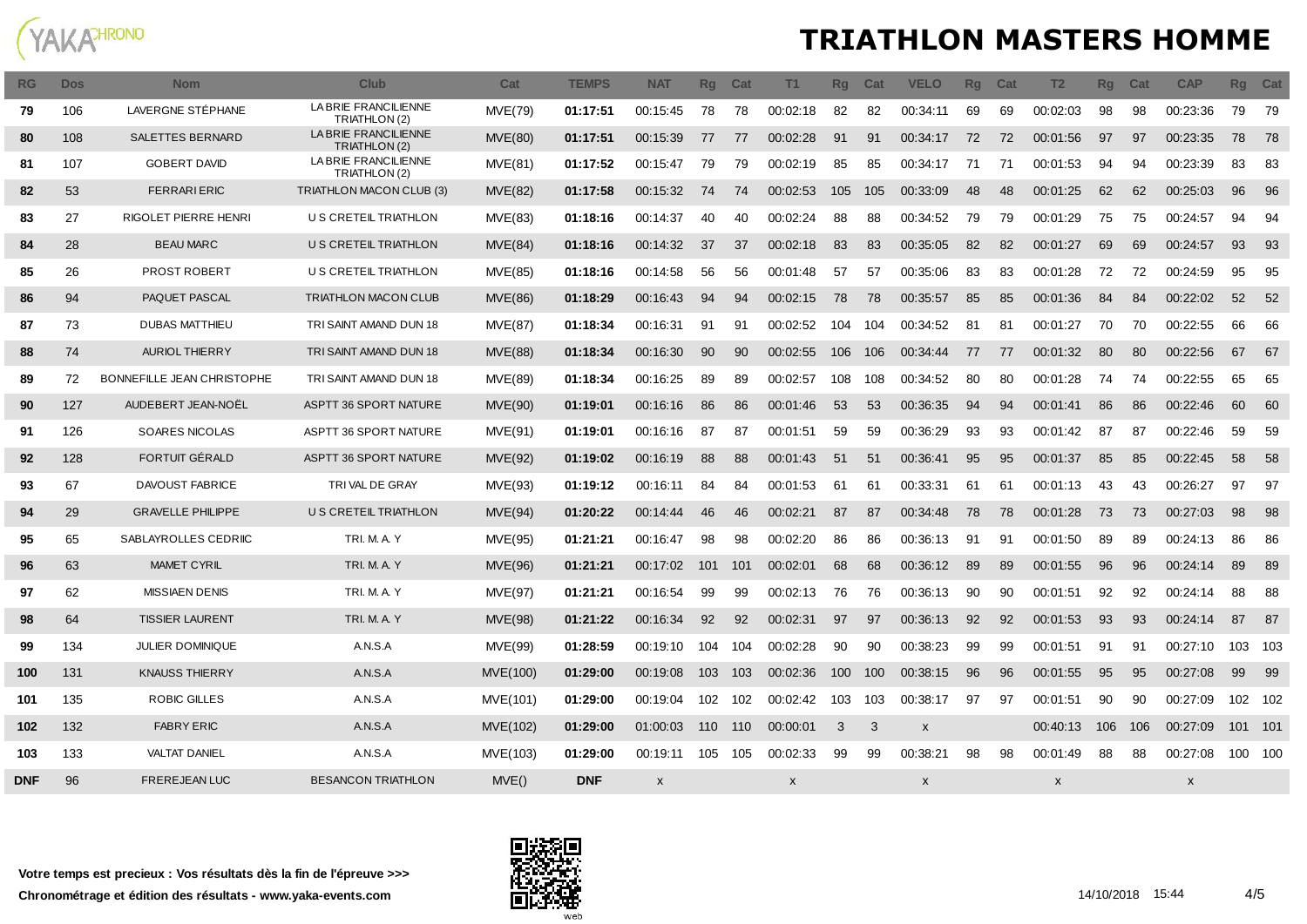

| <b>RG</b>  | <b>Dos</b> | <b>Nom</b>                  | Club                                        | Cat             | <b>TEMPS</b> | <b>NAT</b> | <b>Rq</b> | Cat | T1           | Rq  | Cat | <b>VELO</b>        | Rq | Cat | T <sub>2</sub> | <b>Rq</b> | Cat | <b>CAP</b>   | <b>Rg</b> | Cat  |
|------------|------------|-----------------------------|---------------------------------------------|-----------------|--------------|------------|-----------|-----|--------------|-----|-----|--------------------|----|-----|----------------|-----------|-----|--------------|-----------|------|
| 79         | 106        | LAVERGNE STÉPHANE           | LA BRIE FRANCILIENNE<br>TRIATHLON (2)       | <b>MVE(79)</b>  | 01:17:51     | 00:15:45   | 78        | 78  | 00:02:18     | 82  | 82  | 00:34:11           | 69 | 69  | 00:02:03       | 98        | 98  | 00:23:36     | 79        | 79   |
| 80         | 108        | SALETTES BERNARD            | <b>LABRIE FRANCILIENNE</b><br>TRIATHLON (2) | MVE(80)         | 01:17:51     | 00:15:39   | 77        | 77  | 00:02:28     | 91  | -91 | 00:34:17           | 72 | 72  | 00:01:56       | 97        | 97  | 00:23:35     | 78        | - 78 |
| 81         | 107        | <b>GOBERT DAVID</b>         | LA BRIE FRANCILIENNE<br>TRIATHLON (2)       | MVE(81)         | 01:17:52     | 00:15:47   | 79        | 79  | 00:02:19     | 85  | 85  | 00:34:17           | 71 | -71 | 00:01:53       | 94        | 94  | 00:23:39     | 83        | 83   |
| 82         | 53         | <b>FERRARIERIC</b>          | TRIATHLON MACON CLUB (3)                    | MVE(82)         | 01:17:58     | 00:15:32   | 74        | 74  | 00:02:53     | 105 | 105 | 00:33:09           | 48 | 48  | 00:01:25       | 62        | 62  | 00:25:03     | 96        | 96   |
| 83         | 27         | <b>RIGOLET PIERRE HENRI</b> | U S CRETEIL TRIATHLON                       | MVE(83)         | 01:18:16     | 00:14:37   | 40        | 40  | 00:02:24     | 88  | 88  | 00:34:52           | 79 | 79  | 00:01:29       | 75        | 75  | 00:24:57     | 94        | 94   |
| 84         | 28         | <b>BEAU MARC</b>            | U S CRETEIL TRIATHLON                       | MVE(84)         | 01:18:16     | 00:14:32   | 37        | -37 | 00:02:18     | 83  | 83  | 00.35:05           | 82 | 82  | 00:01:27       | 69        | 69  | 00:24:57     | 93        | 93   |
| 85         | 26         | PROST ROBERT                | U S CRETEIL TRIATHLON                       | MVE(85)         | 01:18:16     | 00:14:58   | 56        | 56  | 00:01:48     | 57  | 57  | 00:35:06           | 83 | 83  | 00:01:28       | 72        | 72  | 00:24:59     | 95        | 95   |
| 86         | 94         | PAQUET PASCAL               | <b>TRIATHLON MACON CLUB</b>                 | MVE(86)         | 01:18:29     | 00:16:43   | 94        | 94  | 00:02:15     | 78  | 78  | 00:35:57           | 85 | 85  | 00:01:36       | 84        | 84  | 00:22:02     | 52        | 52   |
| 87         | 73         | <b>DUBAS MATTHIEU</b>       | TRI SAINT AMAND DUN 18                      | <b>MVE(87)</b>  | 01:18:34     | 00:16:31   | 91        | 91  | 00:02:52     | 104 | 104 | 00:34:52           | 81 | 81  | 00:01:27       | 70        | 70  | 00:22:55     | 66        | 66   |
| 88         | 74         | <b>AURIOL THIERRY</b>       | TRI SAINT AMAND DUN 18                      | <b>MVE(88)</b>  | 01:18:34     | 00:16:30   | 90        | 90  | 00:02:55     | 106 | 106 | 00:34:44           | 77 | 77  | 00:01:32       | 80        | 80  | 00:22:56     | 67        | 67   |
| 89         | 72         | BONNEFILLE JEAN CHRISTOPHE  | TRI SAINT AMAND DUN 18                      | MVE(89)         | 01:18:34     | 00:16:25   | 89        | 89  | 00:02:57     | 108 | 108 | 00:34:52           | 80 | 80  | 00:01:28       | 74        | 74  | 00:22:55     | 65        | 65   |
| 90         | 127        | AUDEBERT JEAN-NOEL          | ASPTT 36 SPORT NATURE                       | MVE(90)         | 01:19:01     | 00:16:16   | 86        | 86  | 00:01:46     | 53  | 53  | 00:36:35           | 94 | 94  | 00:01:41       | 86        | 86  | 00:22:46     | 60        | 60   |
| 91         | 126        | SOARES NICOLAS              | ASPTT 36 SPORT NATURE                       | MVE(91)         | 01:19:01     | 00:16:16   | 87        | 87  | 00:01:51     | 59  | 59  | 00:36:29           | 93 | 93  | 00:01:42       | 87        | 87  | 00:22:46     | 59        | 59   |
| 92         | 128        | FORTUIT GÉRALD              | ASPTT 36 SPORT NATURE                       | MVE(92)         | 01:19:02     | 00:16:19   | 88        | 88  | 00:01:43     | 51  | 51  | 00:36:41           | 95 | 95  | 00:01:37       | 85        | 85  | 00:22:45     | 58        | 58   |
| 93         | 67         | DAVOUST FABRICE             | TRIVAL DE GRAY                              | MVE(93)         | 01:19:12     | 00:16:11   | 84        | 84  | 00:01:53     | 61  | 61  | 00:33:31           | 61 | 61  | 00:01:13       | 43        | 43  | 00:26:27     | 97        | 97   |
| 94         | 29         | <b>GRAVELLE PHILIPPE</b>    | U S CRETEIL TRIATHLON                       | MVE(94)         | 01:20:22     | 00:14:44   | 46        | 46  | 00:02:21     | 87  | 87  | 00:34:48           | 78 | 78  | 00:01:28       | 73        | 73  | 00:27:03     | 98        | 98   |
| 95         | 65         | SABLAYROLLES CEDRIIC        | TRI. M. A. Y                                | <b>MVE(95)</b>  | 01:21:21     | 00:16:47   | 98        | 98  | 00:02:20     | 86  | 86  | 00:36:13           | 91 | 91  | 00:01:50       | 89        | 89  | 00:24:13     | 86        | 86   |
| 96         | 63         | <b>MAMET CYRIL</b>          | TRI. M. A. Y                                | <b>MVE(96)</b>  | 01:21:21     | 00.17:02   | 101       | 101 | 00:02:01     | 68  | 68  | 00:36:12           | 89 | 89  | 00:01:55       | 96        | 96  | 00:24:14     | 89        | 89   |
| 97         | 62         | <b>MISSIAEN DENIS</b>       | TRI. M. A. Y                                | <b>MVE(97)</b>  | 01:21:21     | 00:16:54   | 99        | 99  | 00:02:13     | 76  | 76  | 00:36:13           | 90 | 90  | 00:01:51       | 92        | 92  | 00:24:14     | 88        | 88   |
| 98         | 64         | <b>TISSIER LAURENT</b>      | TRI. M. A. Y                                | MVE(98)         | 01:21:22     | 00:16:34   | 92        | 92  | 00:02:31     | 97  | 97  | 00.36.13           | 92 | 92  | 00:01:53       | 93        | 93  | 00:24:14     | 87        | 87   |
| 99         | 134        | <b>JULIER DOMINIQUE</b>     | A.N.S.A                                     | <b>MVE(99)</b>  | 01:28:59     | 00:19:10   | 104       | 104 | 00:02:28     | 90  | 90  | 00:38:23           | 99 | 99  | 00:01:51       | 91        | 91  | 00:27:10     | $103 -$   | 103  |
| 100        | 131        | <b>KNAUSS THIERRY</b>       | A.N.S.A                                     | <b>MVE(100)</b> | 01:29:00     | 00:19:08   | 103       | 103 | 00:02:36     | 100 | 100 | 00:38:15           | 96 | 96  | 00:01:55       | 95        | 95  | 00:27:08     | 99        | 99   |
| 101        | 135        | <b>ROBIC GILLES</b>         | A.N.S.A                                     | MVE(101)        | 01:29:00     | 00:19:04   | 102       | 102 | 00:02:42     | 103 | 103 | 00:38:17           | 97 | 97  | 00:01:51       | 90        | 90  | 00:27:09     | 102 102   |      |
| 102        | 132        | <b>FABRY ERIC</b>           | A.N.S.A                                     | MVE(102)        | 01:29:00     | 01:00:03   | 110       | 110 | 00:00:01     | 3   | 3   | $\pmb{\mathsf{x}}$ |    |     | 00:40:13       | 106       | 106 | 00:27:09     | 101 101   |      |
| 103        | 133        | <b>VALTAT DANIEL</b>        | A.N.S.A                                     | MVE(103)        | 01:29:00     | 00:19:11   | 105       | 105 | 00:02:33     | 99  | 99  | 00:38:21           | 98 | 98  | 00:01:49       | 88        | 88  | 00:27:08     | 100 100   |      |
| <b>DNF</b> | 96         | <b>FREREJEAN LUC</b>        | <b>BESANCON TRIATHLON</b>                   | MVE()           | <b>DNF</b>   | X          |           |     | $\mathsf{x}$ |     |     | $\mathsf{x}$       |    |     | $\mathsf{x}$   |           |     | $\mathsf{x}$ |           |      |